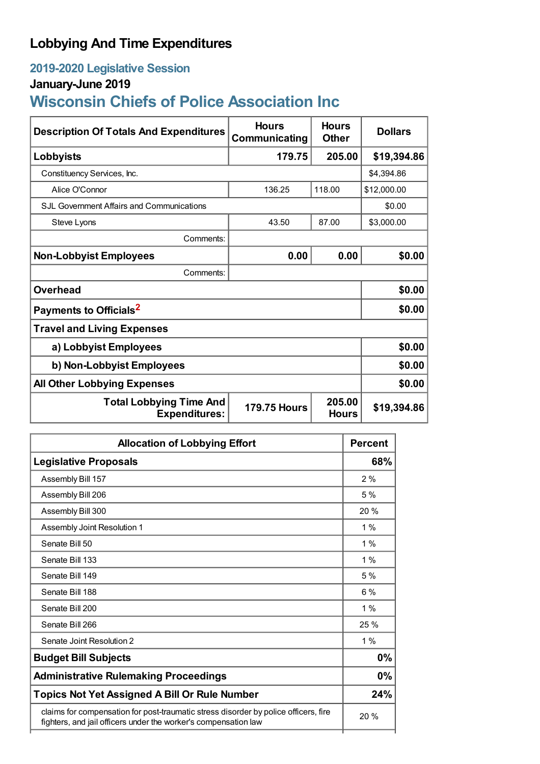## **Lobbying And Time Expenditures**

## **2019-2020 Legislative Session**

## **January-June 2019**

# **Wisconsin Chiefs of Police Association Inc**

| <b>Description Of Totals And Expenditures</b>          | <b>Hours</b><br>Communicating | <b>Hours</b><br><b>Other</b> | <b>Dollars</b> |
|--------------------------------------------------------|-------------------------------|------------------------------|----------------|
| Lobbyists                                              | 179.75                        | 205.00                       | \$19,394.86    |
| Constituency Services, Inc.                            |                               |                              | \$4,394.86     |
| Alice O'Connor                                         | 136.25                        | 118.00                       | \$12,000.00    |
| <b>SJL Government Affairs and Communications</b>       |                               |                              | \$0.00         |
| <b>Steve Lyons</b>                                     | 43.50                         | 87.00                        | \$3,000.00     |
| Comments:                                              |                               |                              |                |
| <b>Non-Lobbyist Employees</b>                          | 0.00                          | 0.00                         | \$0.00         |
| Comments:                                              |                               |                              |                |
| <b>Overhead</b>                                        |                               |                              | \$0.00         |
| Payments to Officials <sup>2</sup>                     |                               |                              | \$0.00         |
| <b>Travel and Living Expenses</b>                      |                               |                              |                |
| a) Lobbyist Employees                                  |                               |                              | \$0.00         |
| b) Non-Lobbyist Employees                              |                               |                              | \$0.00         |
| <b>All Other Lobbying Expenses</b>                     |                               |                              | \$0.00         |
| <b>Total Lobbying Time And</b><br><b>Expenditures:</b> | <b>179.75 Hours</b>           | 205.00<br><b>Hours</b>       | \$19,394.86    |

| <b>Allocation of Lobbying Effort</b>                                                                                                                   |       |
|--------------------------------------------------------------------------------------------------------------------------------------------------------|-------|
| <b>Legislative Proposals</b>                                                                                                                           | 68%   |
| Assembly Bill 157                                                                                                                                      | 2%    |
| Assembly Bill 206                                                                                                                                      | 5%    |
| Assembly Bill 300                                                                                                                                      | 20%   |
| Assembly Joint Resolution 1                                                                                                                            | $1\%$ |
| Senate Bill 50                                                                                                                                         | $1\%$ |
| Senate Bill 133                                                                                                                                        | $1\%$ |
| Senate Bill 149                                                                                                                                        | 5%    |
| Senate Bill 188                                                                                                                                        | $6\%$ |
| Senate Bill 200                                                                                                                                        | $1\%$ |
| Senate Bill 266                                                                                                                                        | 25 %  |
| Senate Joint Resolution 2                                                                                                                              | $1\%$ |
| <b>Budget Bill Subjects</b>                                                                                                                            | 0%    |
| <b>Administrative Rulemaking Proceedings</b>                                                                                                           | 0%    |
| <b>Topics Not Yet Assigned A Bill Or Rule Number</b>                                                                                                   |       |
| claims for compensation for post-traumatic stress disorder by police officers, fire<br>fighters, and jail officers under the worker's compensation law |       |